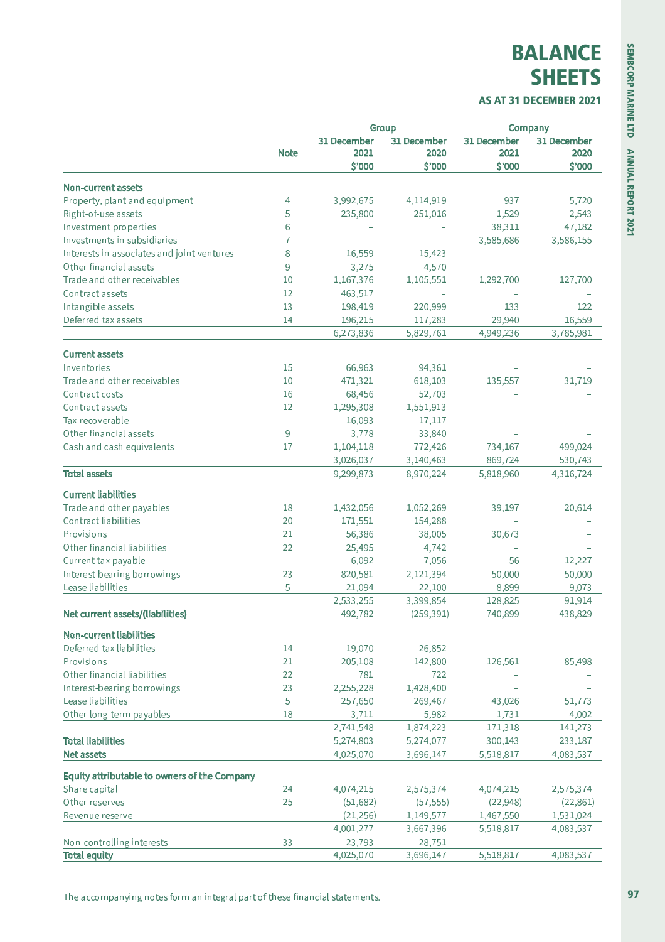## **BALANCE SHEETS**

## AS AT 31 DECEMBER 2021

|                                              |             |                        | Group                  |                      | Company              |  |
|----------------------------------------------|-------------|------------------------|------------------------|----------------------|----------------------|--|
|                                              |             | 31 December            | 31 December            | 31 December          | 31 December          |  |
|                                              | <b>Note</b> | 2021                   | 2020                   | 2021                 | 2020                 |  |
|                                              |             | \$'000                 | \$'000                 | \$'000               | \$'000               |  |
| <b>Non-current assets</b>                    |             |                        |                        |                      |                      |  |
| Property, plant and equipment                | 4           | 3,992,675              | 4,114,919              | 937                  | 5,720                |  |
| Right-of-use assets                          | 5           | 235,800                | 251,016                | 1,529                | 2,543                |  |
| Investment properties                        | 6           |                        |                        | 38,311               | 47,182               |  |
| Investments in subsidiaries                  | 7           |                        |                        | 3,585,686            | 3,586,155            |  |
| Interests in associates and joint ventures   | 8           | 16,559                 | 15,423                 |                      |                      |  |
| Other financial assets                       | 9           | 3,275                  | 4,570                  |                      |                      |  |
| Trade and other receivables                  | 10          | 1,167,376              | 1,105,551              | 1,292,700            | 127,700              |  |
| Contract assets                              | 12          | 463,517                |                        |                      |                      |  |
| Intangible assets                            | 13          | 198,419                | 220,999                | 133                  | 122                  |  |
| Deferred tax assets                          | 14          | 196,215                | 117,283                | 29,940               | 16,559               |  |
|                                              |             | 6,273,836              | 5,829,761              | 4,949,236            | 3,785,981            |  |
|                                              |             |                        |                        |                      |                      |  |
| <b>Current assets</b>                        |             |                        |                        |                      |                      |  |
| Inventories<br>Trade and other receivables   | 15          | 66,963                 | 94,361                 |                      |                      |  |
|                                              | 10          | 471,321                | 618,103                | 135,557              | 31,719               |  |
| Contract costs                               | 16          | 68,456                 | 52,703                 |                      |                      |  |
| Contract assets                              | 12          | 1,295,308              | 1,551,913              |                      |                      |  |
| Tax recoverable                              |             | 16,093                 | 17,117                 |                      |                      |  |
| Other financial assets                       | 9           | 3,778                  | 33,840                 |                      |                      |  |
| Cash and cash equivalents                    | 17          | 1,104,118              | 772,426                | 734,167              | 499,024              |  |
| <b>Total assets</b>                          |             | 3,026,037<br>9,299,873 | 3,140,463<br>8,970,224 | 869,724<br>5,818,960 | 530,743<br>4,316,724 |  |
|                                              |             |                        |                        |                      |                      |  |
| <b>Current liabilities</b>                   |             |                        |                        |                      |                      |  |
| Trade and other payables                     | 18          | 1,432,056              | 1,052,269              | 39,197               | 20,614               |  |
| Contract liabilities                         | 20          | 171,551                | 154,288                |                      |                      |  |
| Provisions                                   | 21          | 56,386                 | 38,005                 | 30,673               |                      |  |
| Other financial liabilities                  | 22          | 25,495                 | 4,742                  |                      |                      |  |
| Current tax payable                          |             | 6,092                  | 7,056                  | 56                   | 12,227               |  |
| Interest-bearing borrowings                  | 23          | 820,581                | 2,121,394              | 50,000               | 50,000               |  |
| Lease liabilities                            | 5           | 21,094                 | 22,100                 | 8,899                | 9,073                |  |
|                                              |             | 2,533,255              | 3,399,854              | 128,825              | 91,914               |  |
| Net current assets/(liabilities)             |             | 492,782                | (259, 391)             | 740,899              | 438,829              |  |
| <b>Non-current liabilities</b>               |             |                        |                        |                      |                      |  |
| Deferred tax liabilities                     | 14          | 19,070                 | 26,852                 |                      |                      |  |
| Provisions                                   | 21          | 205,108                | 142,800                | 126,561              | 85,498               |  |
| Other financial liabilities                  | 22          | 781                    | 722                    |                      |                      |  |
| Interest-bearing borrowings                  | 23          | 2,255,228              | 1,428,400              |                      |                      |  |
| Lease liabilities                            | 5           | 257,650                | 269,467                | 43,026               | 51,773               |  |
| Other long-term payables                     | 18          | 3,711                  | 5,982                  | 1,731                | 4,002                |  |
|                                              |             | 2,741,548              | 1,874,223              | 171,318              | 141,273              |  |
| <b>Total liabilities</b>                     |             | 5,274,803              | 5,274,077              | 300,143              | 233,187              |  |
| <b>Net assets</b>                            |             | 4,025,070              | 3,696,147              | 5,518,817            | 4,083,537            |  |
| Equity attributable to owners of the Company |             |                        |                        |                      |                      |  |
|                                              |             |                        |                        |                      |                      |  |
| Share capital                                | 24          | 4,074,215              | 2,575,374              | 4,074,215            | 2,575,374            |  |
| Other reserves                               | 25          | (51, 682)              | (57, 555)              | (22, 948)            | (22, 861)            |  |
| Revenue reserve                              |             | (21, 256)              | 1,149,577              | 1,467,550            | 1,531,024            |  |
|                                              |             | 4,001,277              | 3,667,396              | 5,518,817            | 4,083,537            |  |
| Non-controlling interests                    | 33          | 23,793                 | 28,751                 |                      |                      |  |
| <b>Total equity</b>                          |             | 4,025,070              | 3,696,147              | 5,518,817            | 4,083,537            |  |